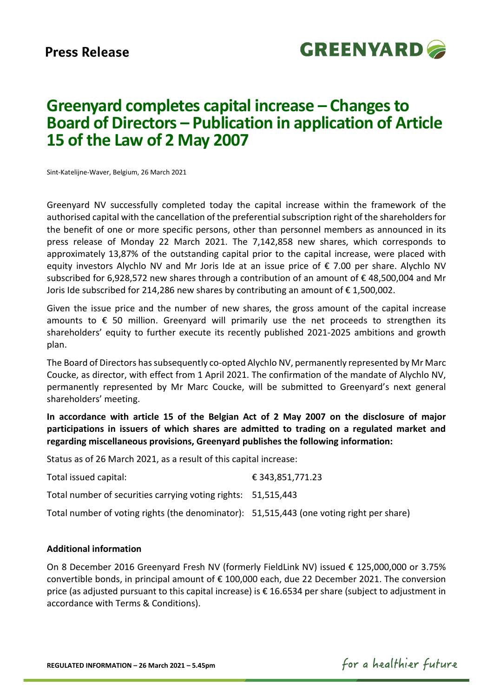

# **Greenyard completes capital increase – Changes to Board of Directors – Publication in application of Article 15 of the Law of 2 May 2007**

Sint-Katelijne-Waver, Belgium, 26 March 2021

Greenyard NV successfully completed today the capital increase within the framework of the authorised capital with the cancellation of the preferential subscription right of the shareholders for the benefit of one or more specific persons, other than personnel members as announced in its press release of Monday 22 March 2021. The 7,142,858 new shares, which corresponds to approximately 13,87% of the outstanding capital prior to the capital increase, were placed with equity investors Alychlo NV and Mr Joris Ide at an issue price of € 7.00 per share. Alychlo NV subscribed for 6,928,572 new shares through a contribution of an amount of € 48,500,004 and Mr Joris Ide subscribed for 214,286 new shares by contributing an amount of € 1,500,002.

Given the issue price and the number of new shares, the gross amount of the capital increase amounts to  $\epsilon$  50 million. Greenyard will primarily use the net proceeds to strengthen its shareholders' equity to further execute its recently published 2021-2025 ambitions and growth plan.

The Board of Directors has subsequently co-opted Alychlo NV, permanently represented by Mr Marc Coucke, as director, with effect from 1 April 2021. The confirmation of the mandate of Alychlo NV, permanently represented by Mr Marc Coucke, will be submitted to Greenyard's next general shareholders' meeting.

**In accordance with article 15 of the Belgian Act of 2 May 2007 on the disclosure of major participations in issuers of which shares are admitted to trading on a regulated market and regarding miscellaneous provisions, Greenyard publishes the following information:**

Status as of 26 March 2021, as a result of this capital increase:

Total issued capital:  $\epsilon$  343,851,771.23 Total number of securities carrying voting rights: 51,515,443

Total number of voting rights (the denominator): 51,515,443 (one voting right per share)

# **Additional information**

On 8 December 2016 Greenyard Fresh NV (formerly FieldLink NV) issued € 125,000,000 or 3.75% convertible bonds, in principal amount of € 100,000 each, due 22 December 2021. The conversion price (as adjusted pursuant to this capital increase) is € 16.6534 per share (subject to adjustment in accordance with Terms & Conditions).

for a healthier future